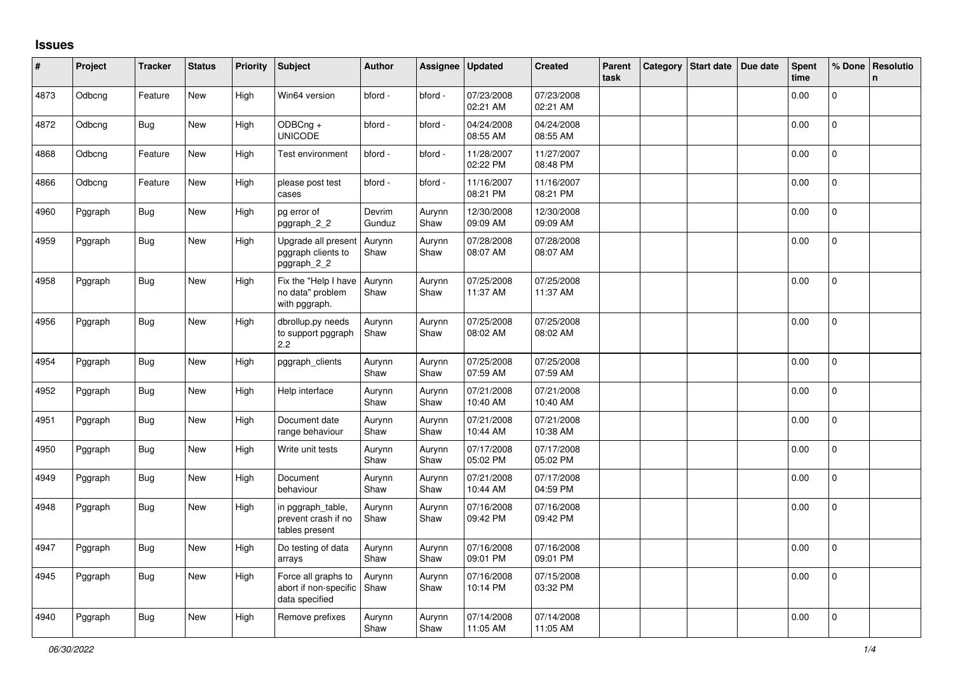## **Issues**

| #    | Project | <b>Tracker</b> | <b>Status</b> | <b>Priority</b> | <b>Subject</b>                                                 | <b>Author</b>    | Assignee       | <b>Updated</b>         | <b>Created</b>         | Parent<br>task | Category | Start date Due date | <b>Spent</b><br>time | % Done         | Resolutio<br>n. |
|------|---------|----------------|---------------|-----------------|----------------------------------------------------------------|------------------|----------------|------------------------|------------------------|----------------|----------|---------------------|----------------------|----------------|-----------------|
| 4873 | Odbcng  | Feature        | New           | High            | Win64 version                                                  | bford -          | bford -        | 07/23/2008<br>02:21 AM | 07/23/2008<br>02:21 AM |                |          |                     | 0.00                 | $\mathbf 0$    |                 |
| 4872 | Odbcng  | Bug            | New           | High            | ODBCng +<br><b>UNICODE</b>                                     | bford -          | bford -        | 04/24/2008<br>08:55 AM | 04/24/2008<br>08:55 AM |                |          |                     | 0.00                 | $\mathbf 0$    |                 |
| 4868 | Odbcng  | Feature        | New           | High            | Test environment                                               | bford -          | bford -        | 11/28/2007<br>02:22 PM | 11/27/2007<br>08:48 PM |                |          |                     | 0.00                 | $\pmb{0}$      |                 |
| 4866 | Odbcng  | Feature        | New           | High            | please post test<br>cases                                      | bford -          | bford -        | 11/16/2007<br>08:21 PM | 11/16/2007<br>08:21 PM |                |          |                     | 0.00                 | $\mathbf{0}$   |                 |
| 4960 | Pggraph | Bug            | New           | High            | pg error of<br>pggraph_2_2                                     | Devrim<br>Gunduz | Aurynn<br>Shaw | 12/30/2008<br>09:09 AM | 12/30/2008<br>09:09 AM |                |          |                     | 0.00                 | $\Omega$       |                 |
| 4959 | Pggraph | Bug            | New           | High            | Upgrade all present<br>pggraph clients to<br>pggraph_2_2       | Aurynn<br>Shaw   | Aurynn<br>Shaw | 07/28/2008<br>08:07 AM | 07/28/2008<br>08:07 AM |                |          |                     | 0.00                 | $\pmb{0}$      |                 |
| 4958 | Pggraph | <b>Bug</b>     | New           | High            | Fix the "Help I have<br>no data" problem<br>with pggraph.      | Aurynn<br>Shaw   | Aurynn<br>Shaw | 07/25/2008<br>11:37 AM | 07/25/2008<br>11:37 AM |                |          |                     | 0.00                 | $\Omega$       |                 |
| 4956 | Pggraph | <b>Bug</b>     | <b>New</b>    | High            | dbrollup.py needs<br>to support pggraph<br>2.2                 | Aurynn<br>Shaw   | Aurynn<br>Shaw | 07/25/2008<br>08:02 AM | 07/25/2008<br>08:02 AM |                |          |                     | 0.00                 | $\Omega$       |                 |
| 4954 | Pggraph | Bug            | New           | High            | pggraph_clients                                                | Aurynn<br>Shaw   | Aurynn<br>Shaw | 07/25/2008<br>07:59 AM | 07/25/2008<br>07:59 AM |                |          |                     | 0.00                 | $\mathbf 0$    |                 |
| 4952 | Pggraph | <b>Bug</b>     | New           | High            | Help interface                                                 | Aurynn<br>Shaw   | Aurynn<br>Shaw | 07/21/2008<br>10:40 AM | 07/21/2008<br>10:40 AM |                |          |                     | 0.00                 | 0              |                 |
| 4951 | Pggraph | <b>Bug</b>     | New           | High            | Document date<br>range behaviour                               | Aurynn<br>Shaw   | Aurynn<br>Shaw | 07/21/2008<br>10:44 AM | 07/21/2008<br>10:38 AM |                |          |                     | 0.00                 | $\mathbf 0$    |                 |
| 4950 | Pggraph | Bug            | New           | High            | Write unit tests                                               | Aurynn<br>Shaw   | Aurynn<br>Shaw | 07/17/2008<br>05:02 PM | 07/17/2008<br>05:02 PM |                |          |                     | 0.00                 | $\mathbf{0}$   |                 |
| 4949 | Pggraph | <b>Bug</b>     | New           | High            | Document<br>behaviour                                          | Aurynn<br>Shaw   | Aurynn<br>Shaw | 07/21/2008<br>10:44 AM | 07/17/2008<br>04:59 PM |                |          |                     | 0.00                 | $\mathbf 0$    |                 |
| 4948 | Pggraph | <b>Bug</b>     | New           | High            | in pggraph_table,<br>prevent crash if no<br>tables present     | Aurynn<br>Shaw   | Aurynn<br>Shaw | 07/16/2008<br>09:42 PM | 07/16/2008<br>09:42 PM |                |          |                     | 0.00                 | 0              |                 |
| 4947 | Pggraph | <b>Bug</b>     | New           | High            | Do testing of data<br>arrays                                   | Aurynn<br>Shaw   | Aurynn<br>Shaw | 07/16/2008<br>09:01 PM | 07/16/2008<br>09:01 PM |                |          |                     | 0.00                 | $\pmb{0}$      |                 |
| 4945 | Pggraph | Bug            | New           | High            | Force all graphs to<br>abort if non-specific<br>data specified | Aurynn<br>Shaw   | Aurynn<br>Shaw | 07/16/2008<br>10:14 PM | 07/15/2008<br>03:32 PM |                |          |                     | 0.00                 | $\overline{0}$ |                 |
| 4940 | Pggraph | <b>Bug</b>     | New           | High            | Remove prefixes                                                | Aurynn<br>Shaw   | Aurynn<br>Shaw | 07/14/2008<br>11:05 AM | 07/14/2008<br>11:05 AM |                |          |                     | 0.00                 | 0              |                 |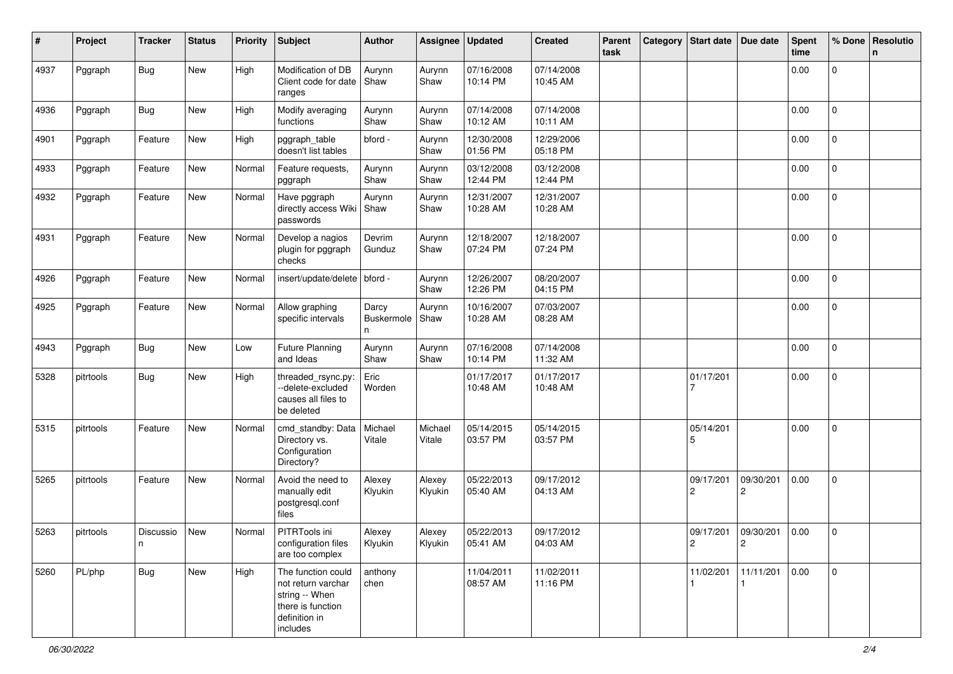| #    | Project   | Tracker        | <b>Status</b> | <b>Priority</b> | <b>Subject</b>                                                                                               | Author                   | Assignee          | <b>Updated</b>         | <b>Created</b>         | Parent<br>task | Category | <b>Start date</b>             | Due date                    | <b>Spent</b><br>time | % Done      | Resolutio<br>n |
|------|-----------|----------------|---------------|-----------------|--------------------------------------------------------------------------------------------------------------|--------------------------|-------------------|------------------------|------------------------|----------------|----------|-------------------------------|-----------------------------|----------------------|-------------|----------------|
| 4937 | Pggraph   | <b>Bug</b>     | New           | High            | Modification of DB<br>Client code for date<br>ranges                                                         | Aurynn<br>Shaw           | Aurynn<br>Shaw    | 07/16/2008<br>10:14 PM | 07/14/2008<br>10:45 AM |                |          |                               |                             | 0.00                 | 0           |                |
| 4936 | Pggraph   | <b>Bug</b>     | New           | High            | Modify averaging<br>functions                                                                                | Aurynn<br>Shaw           | Aurynn<br>Shaw    | 07/14/2008<br>10:12 AM | 07/14/2008<br>10:11 AM |                |          |                               |                             | 0.00                 | $\mathbf 0$ |                |
| 4901 | Pggraph   | Feature        | New           | High            | pggraph_table<br>doesn't list tables                                                                         | bford -                  | Aurynn<br>Shaw    | 12/30/2008<br>01:56 PM | 12/29/2006<br>05:18 PM |                |          |                               |                             | 0.00                 | $\mathbf 0$ |                |
| 4933 | Pggraph   | Feature        | New           | Normal          | Feature requests,<br>pggraph                                                                                 | Aurynn<br>Shaw           | Aurynn<br>Shaw    | 03/12/2008<br>12:44 PM | 03/12/2008<br>12:44 PM |                |          |                               |                             | 0.00                 | 0           |                |
| 4932 | Pggraph   | Feature        | New           | Normal          | Have pggraph<br>directly access Wiki<br>passwords                                                            | Aurynn<br>Shaw           | Aurynn<br>Shaw    | 12/31/2007<br>10:28 AM | 12/31/2007<br>10:28 AM |                |          |                               |                             | 0.00                 | 0           |                |
| 4931 | Pggraph   | Feature        | New           | Normal          | Develop a nagios<br>plugin for pggraph<br>checks                                                             | Devrim<br>Gunduz         | Aurynn<br>Shaw    | 12/18/2007<br>07:24 PM | 12/18/2007<br>07:24 PM |                |          |                               |                             | 0.00                 | 0           |                |
| 4926 | Pggraph   | Feature        | New           | Normal          | insert/update/delete   bford -                                                                               |                          | Aurynn<br>Shaw    | 12/26/2007<br>12:26 PM | 08/20/2007<br>04:15 PM |                |          |                               |                             | 0.00                 | 0           |                |
| 4925 | Pggraph   | Feature        | New           | Normal          | Allow graphing<br>specific intervals                                                                         | Darcy<br>Buskermole<br>n | Aurynn<br>Shaw    | 10/16/2007<br>10:28 AM | 07/03/2007<br>08:28 AM |                |          |                               |                             | 0.00                 | 0           |                |
| 4943 | Pggraph   | <b>Bug</b>     | New           | Low             | <b>Future Planning</b><br>and Ideas                                                                          | Aurynn<br>Shaw           | Aurynn<br>Shaw    | 07/16/2008<br>10:14 PM | 07/14/2008<br>11:32 AM |                |          |                               |                             | 0.00                 | $\mathbf 0$ |                |
| 5328 | pitrtools | <b>Bug</b>     | New           | High            | threaded_rsync.py:<br>--delete-excluded<br>causes all files to<br>be deleted                                 | Eric<br>Worden           |                   | 01/17/2017<br>10:48 AM | 01/17/2017<br>10:48 AM |                |          | 01/17/201                     |                             | 0.00                 | $\mathbf 0$ |                |
| 5315 | pitrtools | Feature        | New           | Normal          | cmd_standby: Data<br>Directory vs.<br>Configuration<br>Directory?                                            | Michael<br>Vitale        | Michael<br>Vitale | 05/14/2015<br>03:57 PM | 05/14/2015<br>03:57 PM |                |          | 05/14/201<br>5                |                             | 0.00                 | 0           |                |
| 5265 | pitrtools | Feature        | New           | Normal          | Avoid the need to<br>manually edit<br>postgresql.conf<br>files                                               | Alexey<br>Klyukin        | Alexey<br>Klyukin | 05/22/2013<br>05:40 AM | 09/17/2012<br>04:13 AM |                |          | 09/17/201<br>2                | 09/30/201<br>2              | 0.00                 | 0           |                |
| 5263 | pitrtools | Discussio<br>n | New           | Normal          | PITRTools ini<br>configuration files<br>are too complex                                                      | Alexey<br>Klyukin        | Alexey<br>Klyukin | 05/22/2013<br>05:41 AM | 09/17/2012<br>04:03 AM |                |          | 09/17/201<br>$\boldsymbol{2}$ | 09/30/201<br>$\overline{c}$ | 0.00                 | 0           |                |
| 5260 | PL/php    | Bug            | New           | High            | The function could<br>not return varchar<br>string -- When<br>there is function<br>definition in<br>includes | anthony<br>chen          |                   | 11/04/2011<br>08:57 AM | 11/02/2011<br>11:16 PM |                |          | 11/02/201                     | 11/11/201                   | 0.00                 | $\mathsf 0$ |                |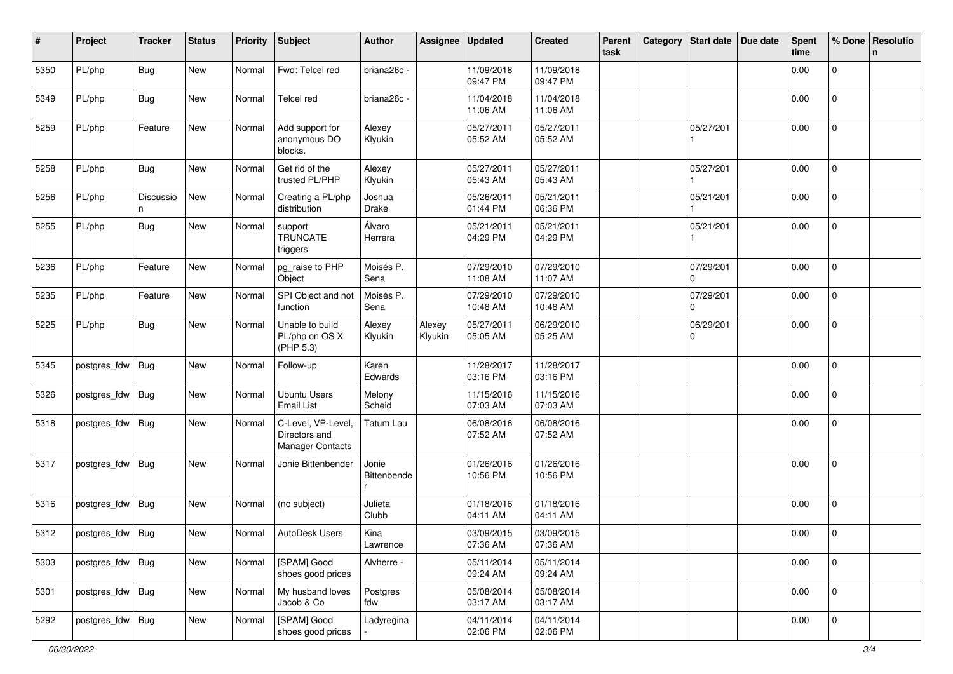| #    | Project            | <b>Tracker</b> | <b>Status</b> | <b>Priority</b> | <b>Subject</b>                                          | Author               | Assignee          | <b>Updated</b>         | <b>Created</b>         | Parent<br>task | Category | Start date   Due date | <b>Spent</b><br>time | % Done              | Resolutio<br>n |
|------|--------------------|----------------|---------------|-----------------|---------------------------------------------------------|----------------------|-------------------|------------------------|------------------------|----------------|----------|-----------------------|----------------------|---------------------|----------------|
| 5350 | PL/php             | <b>Bug</b>     | New           | Normal          | Fwd: Telcel red                                         | briana26c -          |                   | 11/09/2018<br>09:47 PM | 11/09/2018<br>09:47 PM |                |          |                       | 0.00                 | $\mathbf 0$         |                |
| 5349 | PL/php             | Bug            | New           | Normal          | <b>Telcel red</b>                                       | briana26c -          |                   | 11/04/2018<br>11:06 AM | 11/04/2018<br>11:06 AM |                |          |                       | 0.00                 | $\mathbf 0$         |                |
| 5259 | PL/php             | Feature        | New           | Normal          | Add support for<br>anonymous DO<br>blocks.              | Alexey<br>Klyukin    |                   | 05/27/2011<br>05:52 AM | 05/27/2011<br>05:52 AM |                |          | 05/27/201             | 0.00                 | $\overline{0}$      |                |
| 5258 | PL/php             | <b>Bug</b>     | New           | Normal          | Get rid of the<br>trusted PL/PHP                        | Alexey<br>Klyukin    |                   | 05/27/2011<br>05:43 AM | 05/27/2011<br>05:43 AM |                |          | 05/27/201             | 0.00                 | 0                   |                |
| 5256 | PL/php             | Discussio<br>n | New           | Normal          | Creating a PL/php<br>distribution                       | Joshua<br>Drake      |                   | 05/26/2011<br>01:44 PM | 05/21/2011<br>06:36 PM |                |          | 05/21/201             | 0.00                 | $\mathbf 0$         |                |
| 5255 | PL/php             | Bug            | New           | Normal          | support<br><b>TRUNCATE</b><br>triggers                  | Álvaro<br>Herrera    |                   | 05/21/2011<br>04:29 PM | 05/21/2011<br>04:29 PM |                |          | 05/21/201             | 0.00                 | 0                   |                |
| 5236 | PL/php             | Feature        | New           | Normal          | pg_raise to PHP<br>Object                               | Moisés P.<br>Sena    |                   | 07/29/2010<br>11:08 AM | 07/29/2010<br>11:07 AM |                |          | 07/29/201<br>$\Omega$ | 0.00                 | $\mathbf{0}$        |                |
| 5235 | PL/php             | Feature        | New           | Normal          | SPI Object and not<br>function                          | Moisés P.<br>Sena    |                   | 07/29/2010<br>10:48 AM | 07/29/2010<br>10:48 AM |                |          | 07/29/201<br>$\Omega$ | 0.00                 | $\mathbf{0}$        |                |
| 5225 | PL/php             | <b>Bug</b>     | New           | Normal          | Unable to build<br>PL/php on OS X<br>(PHP 5.3)          | Alexey<br>Klyukin    | Alexey<br>Klyukin | 05/27/2011<br>05:05 AM | 06/29/2010<br>05:25 AM |                |          | 06/29/201<br>0        | 0.00                 | 0                   |                |
| 5345 | postgres_fdw       | Bug            | New           | Normal          | Follow-up                                               | Karen<br>Edwards     |                   | 11/28/2017<br>03:16 PM | 11/28/2017<br>03:16 PM |                |          |                       | 0.00                 | $\overline{0}$      |                |
| 5326 | postgres_fdw       | <b>Bug</b>     | New           | Normal          | <b>Ubuntu Users</b><br><b>Email List</b>                | Melony<br>Scheid     |                   | 11/15/2016<br>07:03 AM | 11/15/2016<br>07:03 AM |                |          |                       | 0.00                 | $\mathbf 0$         |                |
| 5318 | postgres_fdw       | <b>Bug</b>     | New           | Normal          | C-Level, VP-Level,<br>Directors and<br>Manager Contacts | Tatum Lau            |                   | 06/08/2016<br>07:52 AM | 06/08/2016<br>07:52 AM |                |          |                       | 0.00                 | 0                   |                |
| 5317 | postgres_fdw       | <b>Bug</b>     | New           | Normal          | Jonie Bittenbender                                      | Jonie<br>Bittenbende |                   | 01/26/2016<br>10:56 PM | 01/26/2016<br>10:56 PM |                |          |                       | 0.00                 | $\mathbf 0$         |                |
| 5316 | postgres_fdw       | Bug            | New           | Normal          | (no subject)                                            | Julieta<br>Clubb     |                   | 01/18/2016<br>04:11 AM | 01/18/2016<br>04:11 AM |                |          |                       | 0.00                 | $\mathbf 0$         |                |
| 5312 | postgres_fdw Bug   |                | New           | Normal          | AutoDesk Users                                          | Kina<br>Lawrence     |                   | 03/09/2015<br>07:36 AM | 03/09/2015<br>07:36 AM |                |          |                       | 0.00                 | $\mathbf 0$         |                |
| 5303 | postgres_fdw       | <b>Bug</b>     | New           | Normal          | [SPAM] Good<br>shoes good prices                        | Alvherre -           |                   | 05/11/2014<br>09:24 AM | 05/11/2014<br>09:24 AM |                |          |                       | 0.00                 | 0                   |                |
| 5301 | postgres_fdw   Bug |                | New           | Normal          | My husband loves<br>Jacob & Co                          | Postgres<br>fdw      |                   | 05/08/2014<br>03:17 AM | 05/08/2014<br>03:17 AM |                |          |                       | 0.00                 | $\mathsf{O}\xspace$ |                |
| 5292 | postgres_fdw Bug   |                | New           | Normal          | [SPAM] Good<br>shoes good prices                        | Ladyregina           |                   | 04/11/2014<br>02:06 PM | 04/11/2014<br>02:06 PM |                |          |                       | 0.00                 | $\pmb{0}$           |                |